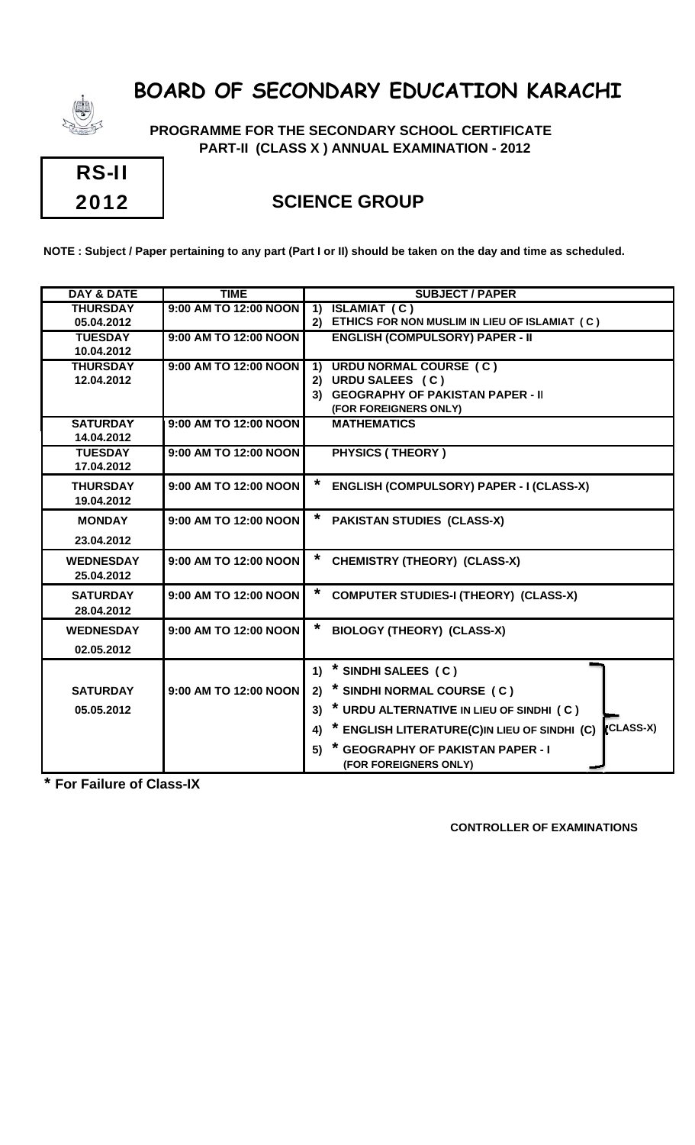

 **PROGRAMME FOR THE SECONDARY SCHOOL CERTIFICATE PART-II (CLASS X ) ANNUAL EXAMINATION - 2012**

| <b>RS-II</b> |  |
|--------------|--|
| 2012         |  |

### **SCIENCE GROUP**

**NOTE : Subject / Paper pertaining to any part (Part I or II) should be taken on the day and time as scheduled.**

| <b>DAY &amp; DATE</b> | <b>TIME</b>           | <b>SUBJECT / PAPER</b>                                          |
|-----------------------|-----------------------|-----------------------------------------------------------------|
| <b>THURSDAY</b>       | 9:00 AM TO 12:00 NOON | <b>ISLAMIAT (C)</b><br>$\overline{1}$                           |
| 05.04.2012            |                       | ETHICS FOR NON MUSLIM IN LIEU OF ISLAMIAT (C)<br>2)             |
| <b>TUESDAY</b>        | 9:00 AM TO 12:00 NOON | <b>ENGLISH (COMPULSORY) PAPER - II</b>                          |
| 10.04.2012            |                       |                                                                 |
| <b>THURSDAY</b>       | 9:00 AM TO 12:00 NOON | <b>URDU NORMAL COURSE (C)</b><br>$\overline{1}$                 |
| 12.04.2012            |                       | URDU SALEES (C)<br>2)                                           |
|                       |                       | 3) GEOGRAPHY OF PAKISTAN PAPER - II                             |
|                       |                       | (FOR FOREIGNERS ONLY)                                           |
| <b>SATURDAY</b>       | 9:00 AM TO 12:00 NOON | <b>MATHEMATICS</b>                                              |
| 14.04.2012            |                       |                                                                 |
| <b>TUESDAY</b>        | 9:00 AM TO 12:00 NOON | <b>PHYSICS (THEORY)</b>                                         |
| 17.04.2012            |                       |                                                                 |
| <b>THURSDAY</b>       | 9:00 AM TO 12:00 NOON | *<br>ENGLISH (COMPULSORY) PAPER - I (CLASS-X)                   |
| 19.04.2012            |                       |                                                                 |
| <b>MONDAY</b>         | 9:00 AM TO 12:00 NOON | $\ast$<br><b>PAKISTAN STUDIES (CLASS-X)</b>                     |
|                       |                       |                                                                 |
| 23.04.2012            |                       |                                                                 |
| <b>WEDNESDAY</b>      | 9:00 AM TO 12:00 NOON | $\star$<br><b>CHEMISTRY (THEORY) (CLASS-X)</b>                  |
| 25.04.2012            |                       |                                                                 |
| <b>SATURDAY</b>       | 9:00 AM TO 12:00 NOON | *                                                               |
|                       |                       | <b>COMPUTER STUDIES-I (THEORY) (CLASS-X)</b>                    |
| 28.04.2012            |                       |                                                                 |
| <b>WEDNESDAY</b>      | 9:00 AM TO 12:00 NOON | <b>BIOLOGY (THEORY) (CLASS-X)</b>                               |
| 02.05.2012            |                       |                                                                 |
|                       |                       | * SINDHI SALEES (C)<br>1)                                       |
|                       | 9:00 AM TO 12:00 NOON | * SINDHI NORMAL COURSE (C)                                      |
| <b>SATURDAY</b>       |                       | 2)                                                              |
| 05.05.2012            |                       | * URDU ALTERNATIVE IN LIEU OF SINDHI (C)<br>3)                  |
|                       |                       | (CLASS-X)<br>* ENGLISH LITERATURE(C)IN LIEU OF SINDHI (C)<br>4) |
|                       |                       | <b>GEOGRAPHY OF PAKISTAN PAPER - I</b><br>5)                    |
|                       |                       | (FOR FOREIGNERS ONLY)                                           |
|                       |                       |                                                                 |

**\* For Failure of Class-IX**

#### **CONTROLLER OF EXAMINATIONS**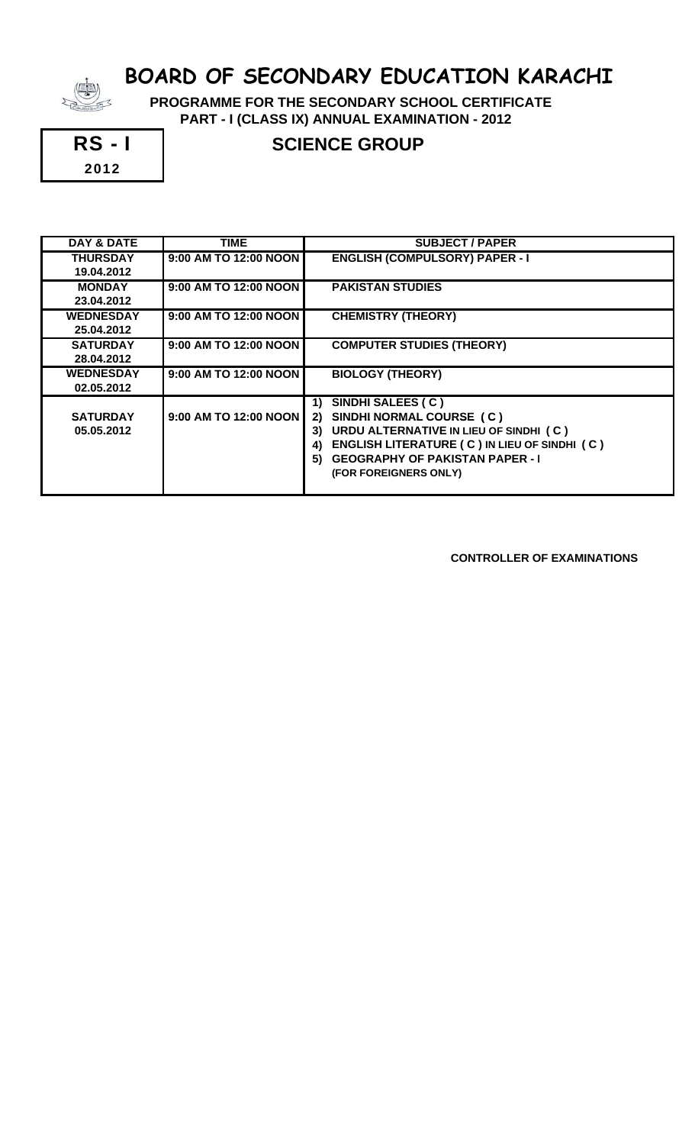

 **PROGRAMME FOR THE SECONDARY SCHOOL CERTIFICATE PART - I (CLASS IX) ANNUAL EXAMINATION - 2012**



## RS - I SCIENCE GROUP

| DAY & DATE       | TIME                  | <b>SUBJECT / PAPER</b>                             |
|------------------|-----------------------|----------------------------------------------------|
| <b>THURSDAY</b>  | 9:00 AM TO 12:00 NOON | <b>ENGLISH (COMPULSORY) PAPER - I</b>              |
| 19.04.2012       |                       |                                                    |
| <b>MONDAY</b>    | 9:00 AM TO 12:00 NOON | <b>PAKISTAN STUDIES</b>                            |
| 23.04.2012       |                       |                                                    |
| <b>WEDNESDAY</b> | 9:00 AM TO 12:00 NOON | <b>CHEMISTRY (THEORY)</b>                          |
| 25.04.2012       |                       |                                                    |
| <b>SATURDAY</b>  | 9:00 AM TO 12:00 NOON | <b>COMPUTER STUDIES (THEORY)</b>                   |
| 28.04.2012       |                       |                                                    |
| <b>WEDNESDAY</b> | 9:00 AM TO 12:00 NOON | <b>BIOLOGY (THEORY)</b>                            |
| 02.05.2012       |                       |                                                    |
|                  |                       | SINDHI SALEES (C)<br>1)                            |
| <b>SATURDAY</b>  | 9:00 AM TO 12:00 NOON | SINDHI NORMAL COURSE (C)<br>2)                     |
| 05.05.2012       |                       | URDU ALTERNATIVE IN LIEU OF SINDHI (C)<br>3)       |
|                  |                       | ENGLISH LITERATURE (C) IN LIEU OF SINDHI (C)<br>4) |
|                  |                       | <b>GEOGRAPHY OF PAKISTAN PAPER - I</b><br>5)       |
|                  |                       | (FOR FOREIGNERS ONLY)                              |
|                  |                       |                                                    |

 **CONTROLLER OF EXAMINATIONS**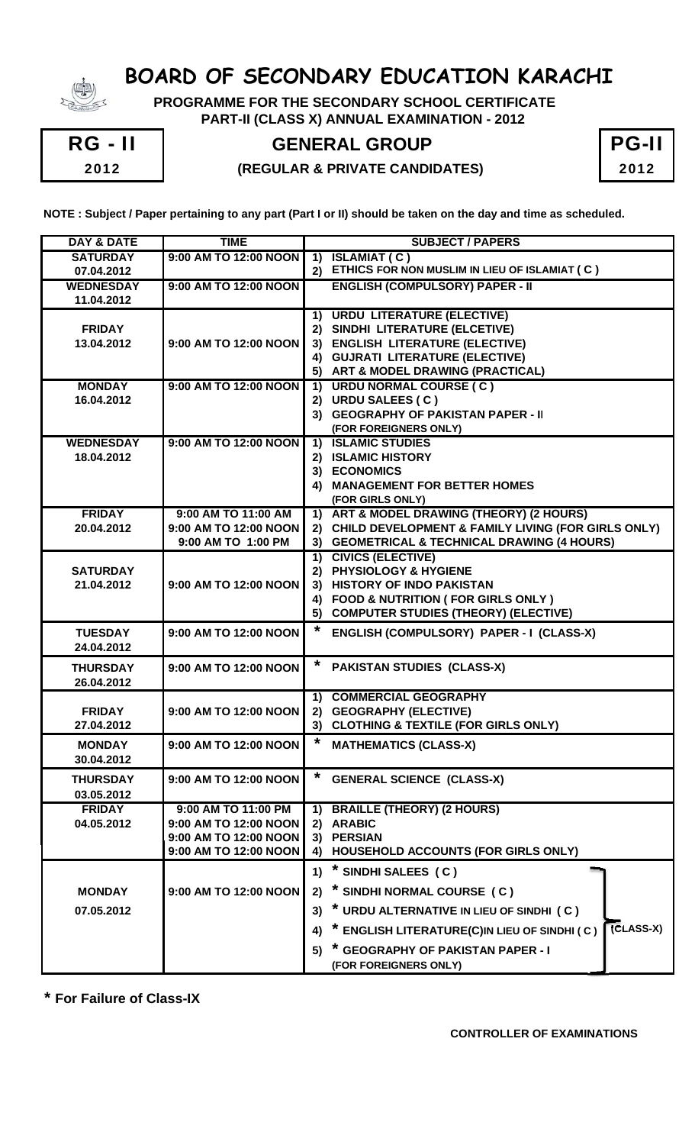

 **PROGRAMME FOR THE SECONDARY SCHOOL CERTIFICATE PART-II (CLASS X) ANNUAL EXAMINATION - 2012**



### **RG - II | GENERAL GROUP**

#### 2012 **(REGULAR & PRIVATE CANDIDATES)** 2012

| <b>PG-II</b> |  |
|--------------|--|
| 2012         |  |

**NOTE : Subject / Paper pertaining to any part (Part I or II) should be taken on the day and time as scheduled.**

| <b>DAY &amp; DATE</b>          | <b>TIME</b>                                    | <b>SUBJECT / PAPERS</b>                                                |
|--------------------------------|------------------------------------------------|------------------------------------------------------------------------|
| <b>SATURDAY</b>                | 9:00 AM TO 12:00 NOON                          | <b>ISLAMIAT (C)</b><br>$\overline{1}$                                  |
| 07.04.2012                     |                                                | 2) ETHICS FOR NON MUSLIM IN LIEU OF ISLAMIAT (C)                       |
| <b>WEDNESDAY</b><br>11.04.2012 | 9:00 AM TO 12:00 NOON                          | <b>ENGLISH (COMPULSORY) PAPER - II</b>                                 |
|                                |                                                | 1) URDU LITERATURE (ELECTIVE)                                          |
| <b>FRIDAY</b>                  |                                                | 2) SINDHI LITERATURE (ELCETIVE)                                        |
| 13.04.2012                     | 9:00 AM TO 12:00 NOON                          | 3) ENGLISH LITERATURE (ELECTIVE)                                       |
|                                |                                                | 4) GUJRATI LITERATURE (ELECTIVE)                                       |
|                                |                                                | 5) ART & MODEL DRAWING (PRACTICAL)                                     |
| <b>MONDAY</b>                  | 9:00 AM TO 12:00 NOON                          | 1) URDU NORMAL COURSE (C)                                              |
| 16.04.2012                     |                                                | 2) URDU SALEES (C)                                                     |
|                                |                                                | 3) GEOGRAPHY OF PAKISTAN PAPER - II                                    |
|                                |                                                | (FOR FOREIGNERS ONLY)                                                  |
| <b>WEDNESDAY</b>               | 9:00 AM TO 12:00 NOON                          | 1) ISLAMIC STUDIES<br>2) ISLAMIC HISTORY                               |
| 18.04.2012                     |                                                | 3) ECONOMICS                                                           |
|                                |                                                | 4) MANAGEMENT FOR BETTER HOMES                                         |
|                                |                                                | (FOR GIRLS ONLY)                                                       |
| <b>FRIDAY</b>                  | 9:00 AM TO 11:00 AM                            | 1) ART & MODEL DRAWING (THEORY) (2 HOURS)                              |
| 20.04.2012                     | 9:00 AM TO 12:00 NOON                          | 2) CHILD DEVELOPMENT & FAMILY LIVING (FOR GIRLS ONLY)                  |
|                                | 9:00 AM TO 1:00 PM                             | 3) GEOMETRICAL & TECHNICAL DRAWING (4 HOURS)                           |
|                                |                                                | 1) CIVICS (ELECTIVE)                                                   |
| <b>SATURDAY</b>                |                                                | 2) PHYSIOLOGY & HYGIENE                                                |
| 21.04.2012                     | 9:00 AM TO 12:00 NOON                          | 3) HISTORY OF INDO PAKISTAN                                            |
|                                |                                                | 4) FOOD & NUTRITION ( FOR GIRLS ONLY )                                 |
|                                |                                                | 5) COMPUTER STUDIES (THEORY) (ELECTIVE)                                |
| <b>TUESDAY</b>                 | 9:00 AM TO 12:00 NOON                          | *<br>ENGLISH (COMPULSORY) PAPER - I (CLASS-X)                          |
| 24.04.2012                     |                                                |                                                                        |
| <b>THURSDAY</b>                | 9:00 AM TO 12:00 NOON                          | <b>PAKISTAN STUDIES (CLASS-X)</b>                                      |
| 26.04.2012                     |                                                |                                                                        |
|                                |                                                | 1) COMMERCIAL GEOGRAPHY                                                |
| <b>FRIDAY</b>                  | 9:00 AM TO 12:00 NOON                          | 2) GEOGRAPHY (ELECTIVE)<br>3) CLOTHING & TEXTILE (FOR GIRLS ONLY)      |
| 27.04.2012                     |                                                | $\star$                                                                |
| <b>MONDAY</b>                  | 9:00 AM TO 12:00 NOON                          | <b>MATHEMATICS (CLASS-X)</b>                                           |
| 30.04.2012                     |                                                |                                                                        |
| <b>THURSDAY</b>                | 9:00 AM TO 12:00 NOON                          | $\ast$<br><b>GENERAL SCIENCE (CLASS-X)</b>                             |
| 03.05.2012                     |                                                |                                                                        |
| <b>FRIDAY</b>                  | 9:00 AM TO 11:00 PM                            | <b>BRAILLE (THEORY) (2 HOURS)</b><br>1)                                |
| 04.05.2012                     | 9:00 AM TO 12:00 NOON                          | 2) ARABIC                                                              |
|                                | 9:00 AM TO 12:00 NOON<br>9:00 AM TO 12:00 NOON | 3) PERSIAN<br>HOUSEHOLD ACCOUNTS (FOR GIRLS ONLY)<br>4)                |
|                                |                                                |                                                                        |
|                                |                                                | * SINDHI SALEES (C)<br>1)                                              |
| <b>MONDAY</b>                  | 9:00 AM TO 12:00 NOON                          | * SINDHI NORMAL COURSE (C)<br>2)                                       |
| 07.05.2012                     |                                                | * URDU ALTERNATIVE IN LIEU OF SINDHI (C)<br>3)                         |
|                                |                                                | <b>(CLASS-X)</b><br>* ENGLISH LITERATURE(C)IN LIEU OF SINDHI (C)<br>4) |
|                                |                                                | * GEOGRAPHY OF PAKISTAN PAPER - I<br>5)                                |
|                                |                                                | (FOR FOREIGNERS ONLY)                                                  |

**\* For Failure of Class-IX**